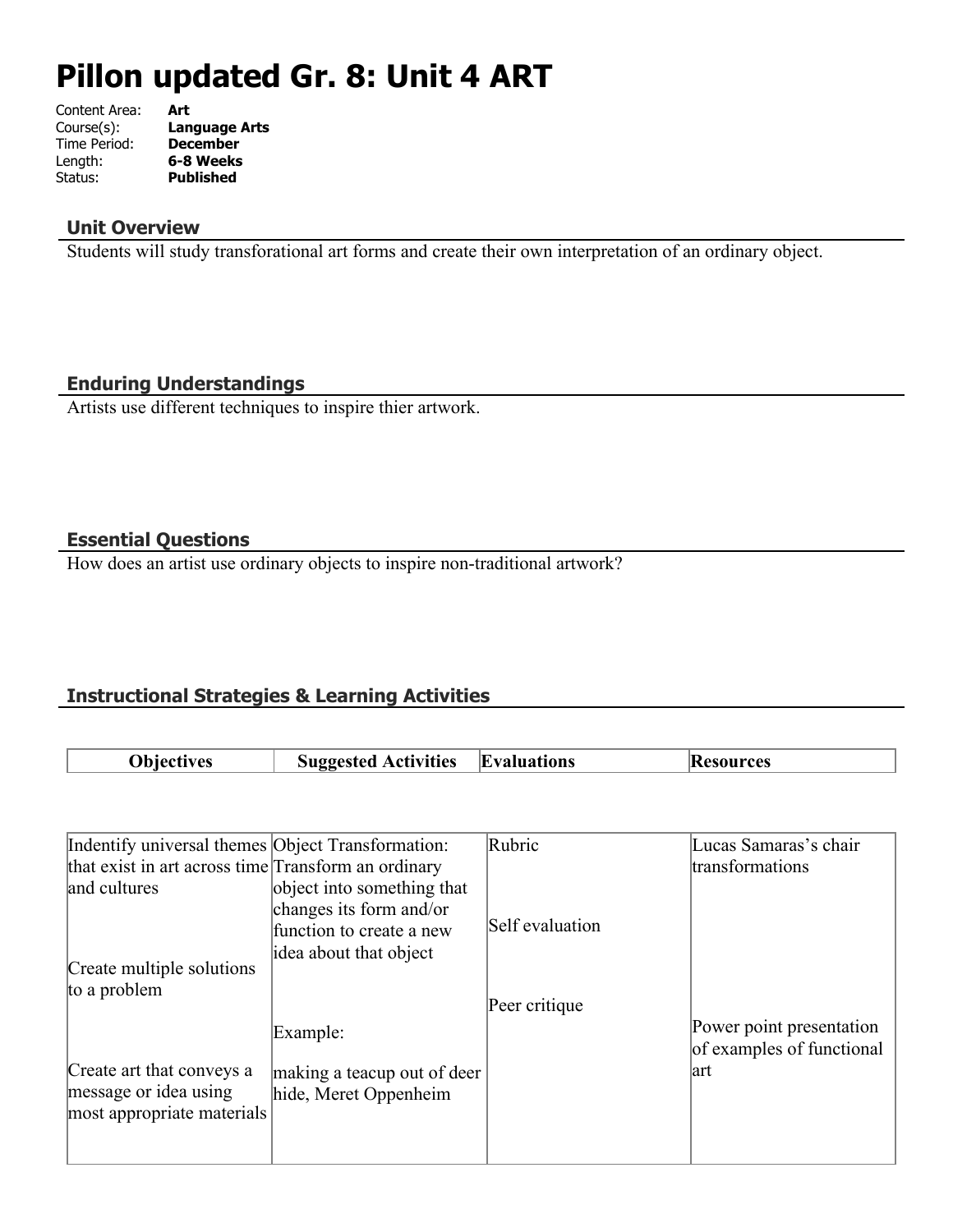# **Pillon updated Gr. 8: Unit 4 ART**

| Content Area: | Art                  |
|---------------|----------------------|
| Course(s):    | <b>Language Arts</b> |
| Time Period:  | <b>December</b>      |
| Length:       | 6-8 Weeks            |
| Status:       | <b>Published</b>     |
|               |                      |

## **Unit Overview**

Students will study transforational art forms and create their own interpretation of an ordinary object.

## **Enduring Understandings**

Artists use different techniques to inspire thier artwork.

## **Essential Questions**

How does an artist use ordinary objects to inspire non-traditional artwork?

# **Instructional Strategies & Learning Activities**

| <b>Objectives</b> | <b>Suggested Activities</b> | <b>Evaluations</b> | <b>Resources</b> |
|-------------------|-----------------------------|--------------------|------------------|

| Indentify universal themes Object Transformation:   |                             | Rubric          | Lucas Samaras's chair     |
|-----------------------------------------------------|-----------------------------|-----------------|---------------------------|
| that exist in art across time Transform an ordinary |                             |                 | transformations           |
| and cultures                                        | object into something that  |                 |                           |
|                                                     | changes its form and/or     |                 |                           |
|                                                     | function to create a new    | Self evaluation |                           |
|                                                     | idea about that object      |                 |                           |
| Create multiple solutions                           |                             |                 |                           |
| to a problem                                        |                             |                 |                           |
|                                                     |                             | Peer critique   |                           |
|                                                     | Example:                    |                 | Power point presentation  |
|                                                     |                             |                 | of examples of functional |
| Create art that conveys a                           | making a teacup out of deer |                 | lart                      |
| message or idea using                               | hide, Meret Oppenheim       |                 |                           |
| most appropriate materials                          |                             |                 |                           |
|                                                     |                             |                 |                           |
|                                                     |                             |                 |                           |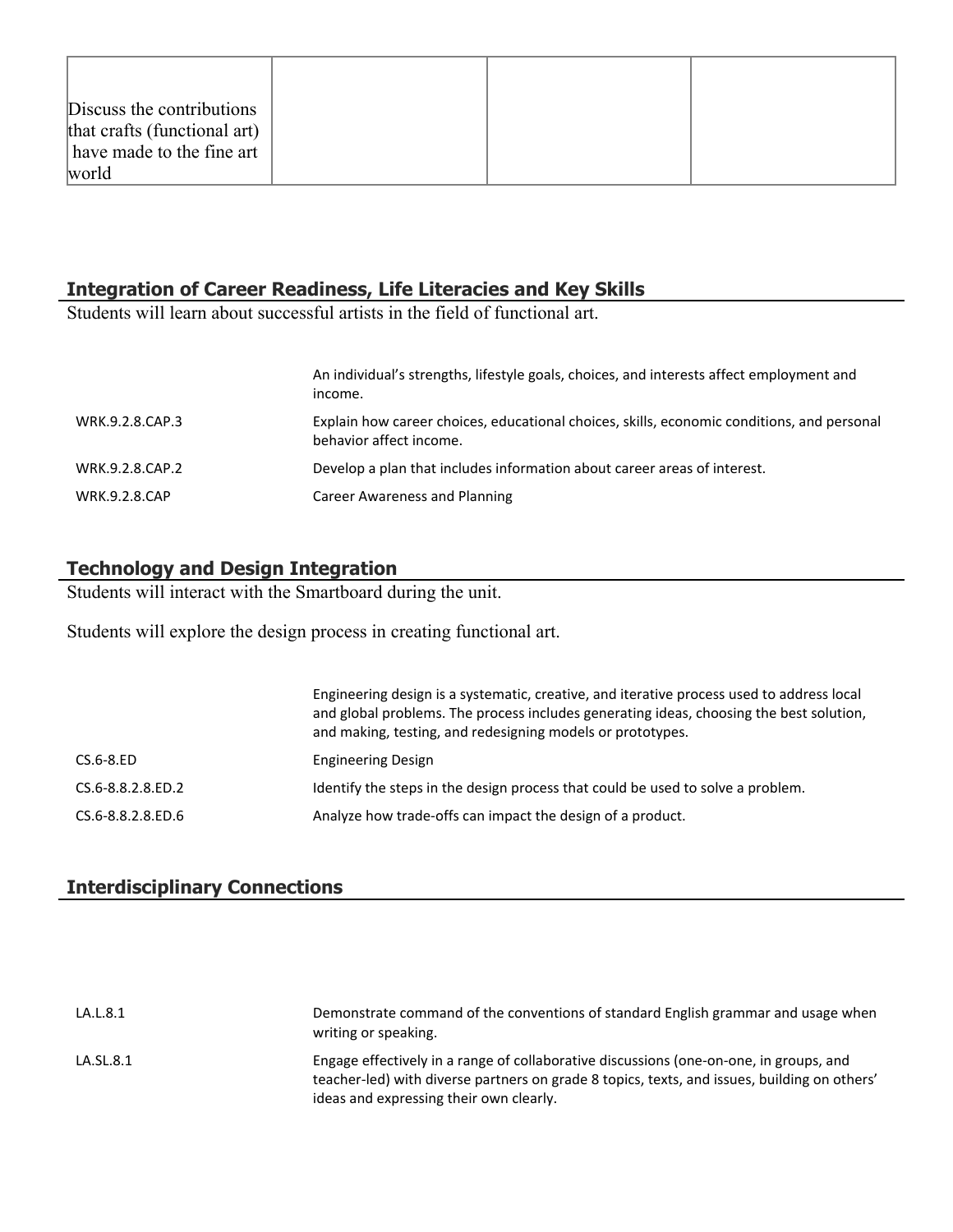| Discuss the contributions    |  |  |
|------------------------------|--|--|
| that crafts (functional art) |  |  |
| have made to the fine art    |  |  |
| world                        |  |  |

### **Integration of Career Readiness, Life Literacies and Key Skills**

Students will learn about successful artists in the field of functional art.

|                      | An individual's strengths, lifestyle goals, choices, and interests affect employment and<br>income.                   |
|----------------------|-----------------------------------------------------------------------------------------------------------------------|
| WRK.9.2.8.CAP.3      | Explain how career choices, educational choices, skills, economic conditions, and personal<br>behavior affect income. |
| WRK.9.2.8.CAP.2      | Develop a plan that includes information about career areas of interest.                                              |
| <b>WRK.9.2.8.CAP</b> | Career Awareness and Planning                                                                                         |

# **Technology and Design Integration**

Students will interact with the Smartboard during the unit.

Students will explore the design process in creating functional art.

|                   | Engineering design is a systematic, creative, and iterative process used to address local<br>and global problems. The process includes generating ideas, choosing the best solution,<br>and making, testing, and redesigning models or prototypes. |
|-------------------|----------------------------------------------------------------------------------------------------------------------------------------------------------------------------------------------------------------------------------------------------|
| $CS.6-8.ED$       | <b>Engineering Design</b>                                                                                                                                                                                                                          |
| CS.6-8.8.2.8.ED.2 | Identify the steps in the design process that could be used to solve a problem.                                                                                                                                                                    |
| CS.6-8.8.2.8.ED.6 | Analyze how trade-offs can impact the design of a product.                                                                                                                                                                                         |

# **Interdisciplinary Connections**

| LA.L.8.1  | Demonstrate command of the conventions of standard English grammar and usage when<br>writing or speaking.                                                                                                                         |
|-----------|-----------------------------------------------------------------------------------------------------------------------------------------------------------------------------------------------------------------------------------|
| LA.SL.8.1 | Engage effectively in a range of collaborative discussions (one-on-one, in groups, and<br>teacher-led) with diverse partners on grade 8 topics, texts, and issues, building on others'<br>ideas and expressing their own clearly. |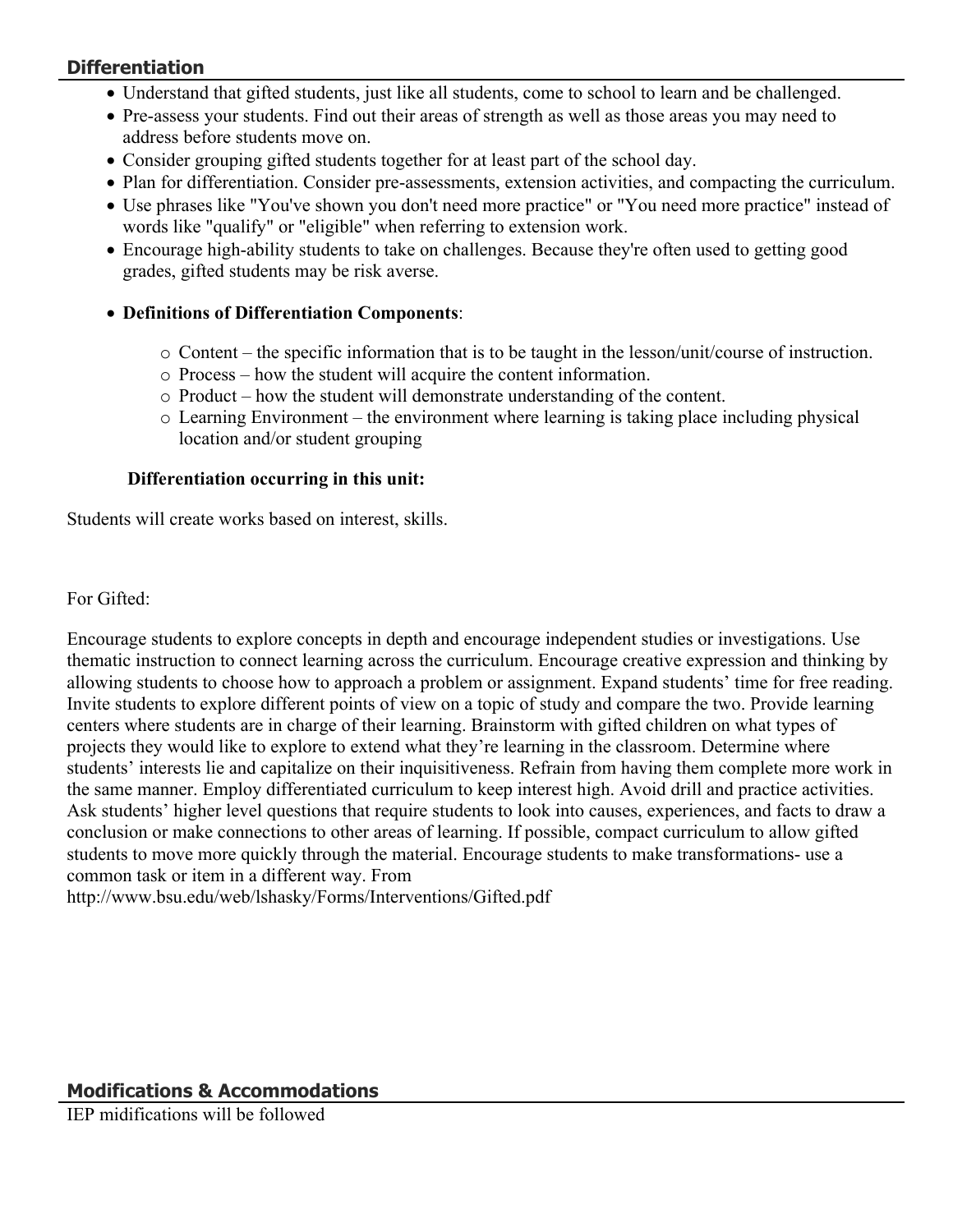# **Differentiation**

- Understand that gifted students, just like all students, come to school to learn and be challenged.
- Pre-assess your students. Find out their areas of strength as well as those areas you may need to address before students move on.
- Consider grouping gifted students together for at least part of the school day.
- Plan for differentiation. Consider pre-assessments, extension activities, and compacting the curriculum.
- Use phrases like "You've shown you don't need more practice" or "You need more practice" instead of words like "qualify" or "eligible" when referring to extension work.
- Encourage high-ability students to take on challenges. Because they're often used to getting good grades, gifted students may be risk averse.
- **Definitions of Differentiation Components**:
	- $\circ$  Content the specific information that is to be taught in the lesson/unit/course of instruction.
	- o Process how the student will acquire the content information.
	- o Product how the student will demonstrate understanding of the content.
	- $\circ$  Learning Environment the environment where learning is taking place including physical location and/or student grouping

# **Differentiation occurring in this unit:**

Students will create works based on interest, skills.

For Gifted:

Encourage students to explore concepts in depth and encourage independent studies or investigations. Use thematic instruction to connect learning across the curriculum. Encourage creative expression and thinking by allowing students to choose how to approach a problem or assignment. Expand students' time for free reading. Invite students to explore different points of view on a topic of study and compare the two. Provide learning centers where students are in charge of their learning. Brainstorm with gifted children on what types of projects they would like to explore to extend what they're learning in the classroom. Determine where students' interests lie and capitalize on their inquisitiveness. Refrain from having them complete more work in the same manner. Employ differentiated curriculum to keep interest high. Avoid drill and practice activities. Ask students' higher level questions that require students to look into causes, experiences, and facts to draw a conclusion or make connections to other areas of learning. If possible, compact curriculum to allow gifted students to move more quickly through the material. Encourage students to make transformations- use a common task or item in a different way. From

http://www.bsu.edu/web/lshasky/Forms/Interventions/Gifted.pdf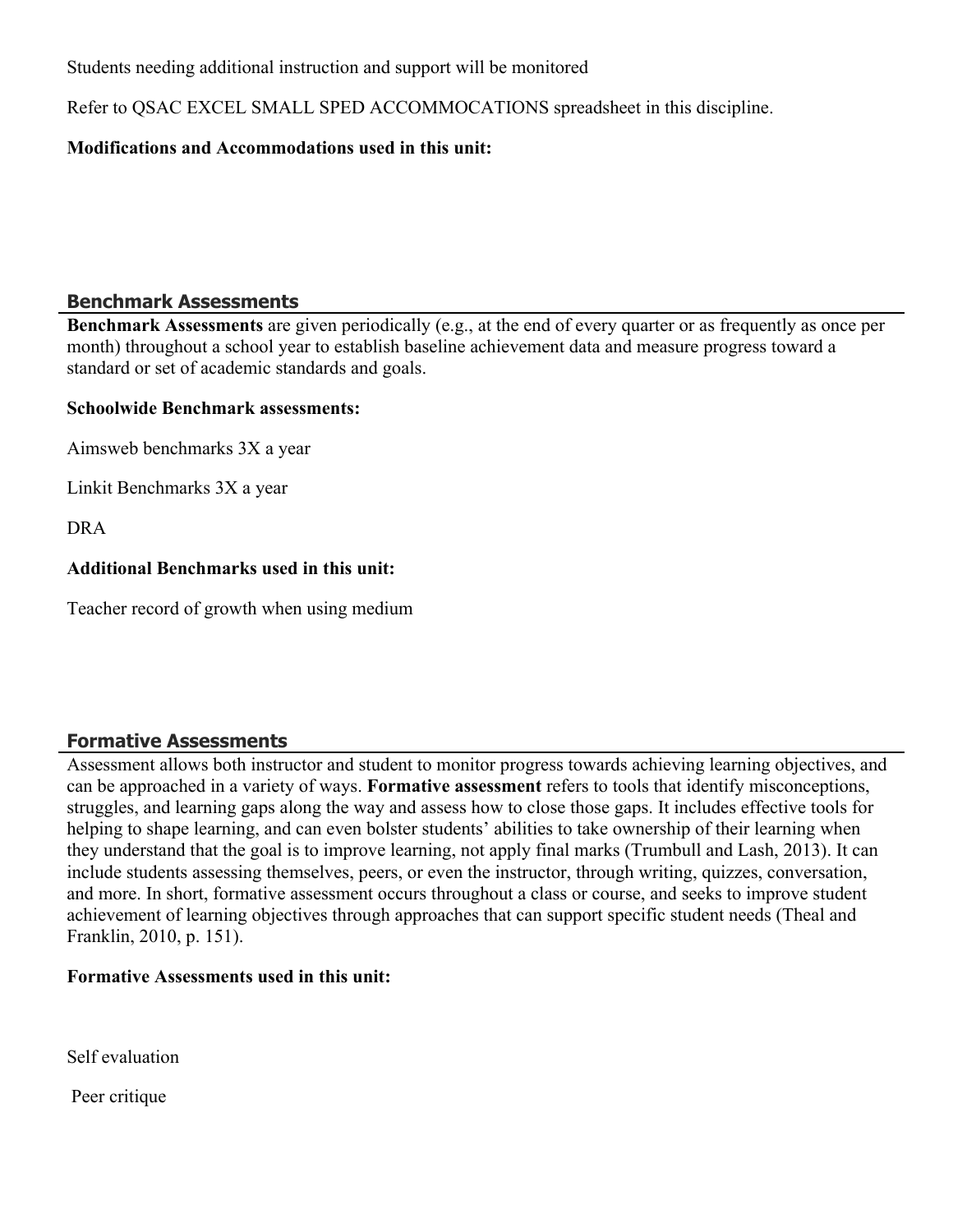Students needing additional instruction and support will be monitored

Refer to QSAC EXCEL SMALL SPED ACCOMMOCATIONS spreadsheet in this discipline.

### **Modifications and Accommodations used in this unit:**

## **Benchmark Assessments**

**Benchmark Assessments** are given periodically (e.g., at the end of every quarter or as frequently as once per month) throughout a school year to establish baseline achievement data and measure progress toward a standard or set of academic standards and goals.

#### **Schoolwide Benchmark assessments:**

Aimsweb benchmarks 3X a year

Linkit Benchmarks 3X a year

DRA

#### **Additional Benchmarks used in this unit:**

Teacher record of growth when using medium

#### **Formative Assessments**

Assessment allows both instructor and student to monitor progress towards achieving learning objectives, and can be approached in a variety of ways. **Formative assessment** refers to tools that identify misconceptions, struggles, and learning gaps along the way and assess how to close those gaps. It includes effective tools for helping to shape learning, and can even bolster students' abilities to take ownership of their learning when they understand that the goal is to improve learning, not apply final marks (Trumbull and Lash, 2013). It can include students assessing themselves, peers, or even the instructor, through writing, quizzes, conversation, and more. In short, formative assessment occurs throughout a class or course, and seeks to improve student achievement of learning objectives through approaches that can support specific student needs (Theal and Franklin, 2010, p. 151).

#### **Formative Assessments used in this unit:**

Self evaluation

Peer critique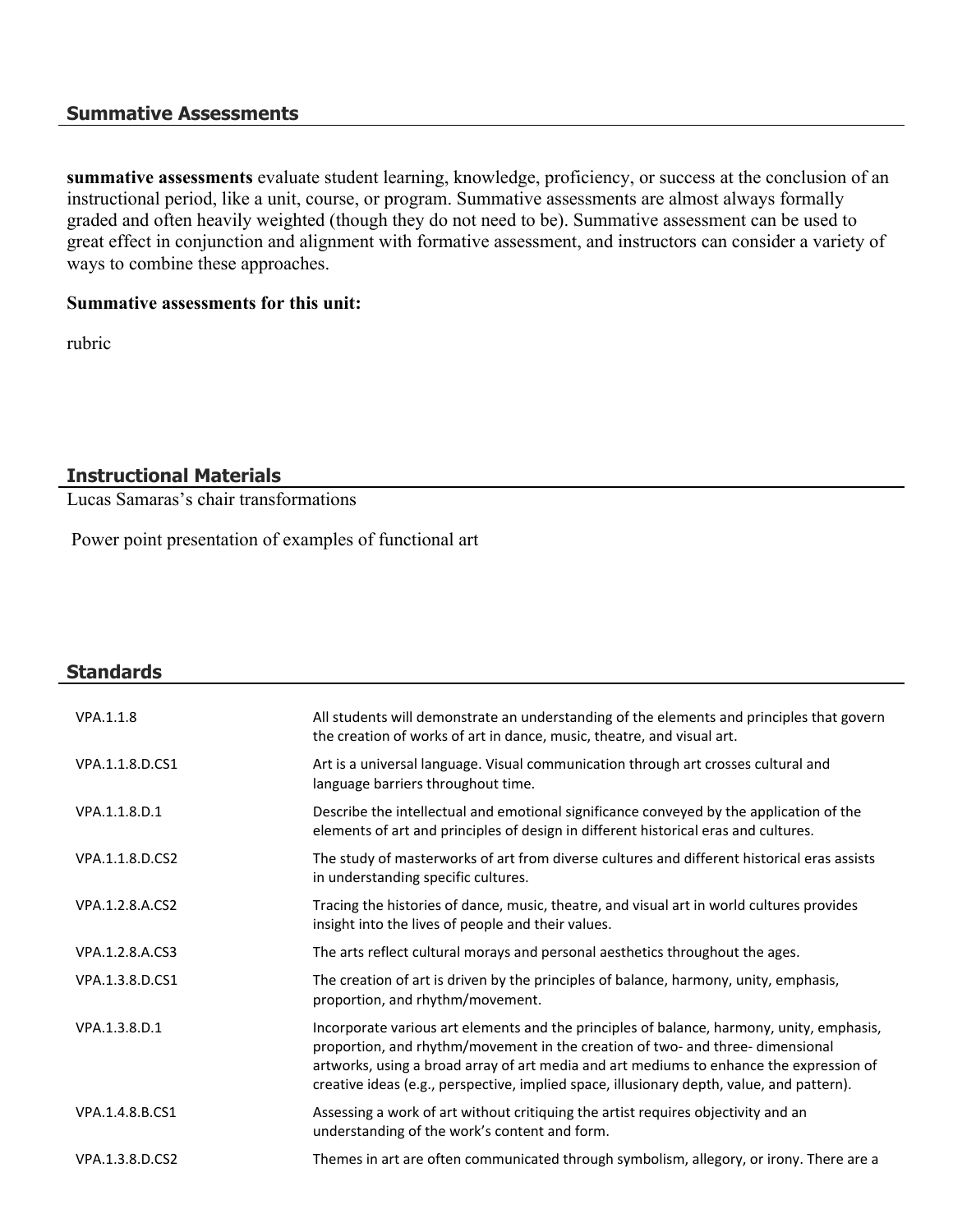#### **Summative Assessments**

**summative assessments** evaluate student learning, knowledge, proficiency, or success at the conclusion of an instructional period, like a unit, course, or program. Summative assessments are almost always formally graded and often heavily weighted (though they do not need to be). Summative assessment can be used to great effect in conjunction and alignment with formative assessment, and instructors can consider a variety of ways to combine these approaches.

#### **Summative assessments for this unit:**

rubric

## **Instructional Materials**

Lucas Samaras's chair transformations

Power point presentation of examples of functional art

| All students will demonstrate an understanding of the elements and principles that govern<br>the creation of works of art in dance, music, theatre, and visual art.                                                                                                                                                                                                 |
|---------------------------------------------------------------------------------------------------------------------------------------------------------------------------------------------------------------------------------------------------------------------------------------------------------------------------------------------------------------------|
| Art is a universal language. Visual communication through art crosses cultural and<br>language barriers throughout time.                                                                                                                                                                                                                                            |
| Describe the intellectual and emotional significance conveyed by the application of the<br>elements of art and principles of design in different historical eras and cultures.                                                                                                                                                                                      |
| The study of masterworks of art from diverse cultures and different historical eras assists<br>in understanding specific cultures.                                                                                                                                                                                                                                  |
| Tracing the histories of dance, music, theatre, and visual art in world cultures provides<br>insight into the lives of people and their values.                                                                                                                                                                                                                     |
| The arts reflect cultural morays and personal aesthetics throughout the ages.                                                                                                                                                                                                                                                                                       |
| The creation of art is driven by the principles of balance, harmony, unity, emphasis,<br>proportion, and rhythm/movement.                                                                                                                                                                                                                                           |
| Incorporate various art elements and the principles of balance, harmony, unity, emphasis,<br>proportion, and rhythm/movement in the creation of two- and three- dimensional<br>artworks, using a broad array of art media and art mediums to enhance the expression of<br>creative ideas (e.g., perspective, implied space, illusionary depth, value, and pattern). |
| Assessing a work of art without critiquing the artist requires objectivity and an<br>understanding of the work's content and form.                                                                                                                                                                                                                                  |
| Themes in art are often communicated through symbolism, allegory, or irony. There are a                                                                                                                                                                                                                                                                             |
|                                                                                                                                                                                                                                                                                                                                                                     |